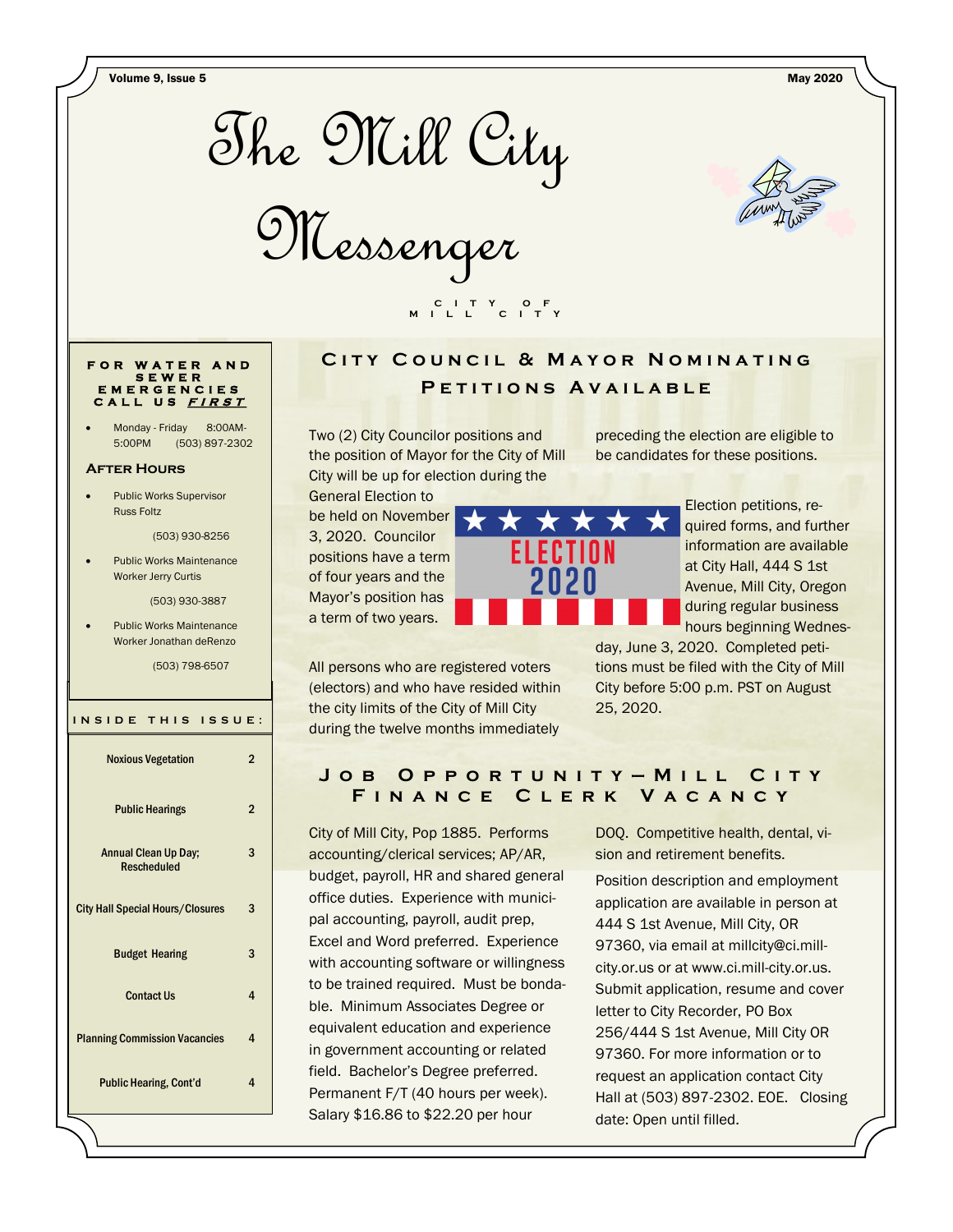Volume 9, Issue 5 May 2020



Messenger



#### **F O R W A T E R A N D S E W E R E M E R G E N C I E S C A L L U S <sup>F</sup> <sup>I</sup> <sup>R</sup> <sup>S</sup> <sup>T</sup>**

Monday - Friday 8:00AM-5:00PM (503) 897-2302

#### **After Hours**

 Public Works Supervisor Russ Foltz

(503) 930-8256

 Public Works Maintenance Worker Jerry Curtis

(503) 930-3887

 Public Works Maintenance Worker Jonathan deRenzo

(503) 798-6507

#### **I N S I D E T H I S I S S U E :**

| <b>Noxious Vegetation</b>                         | 2              |
|---------------------------------------------------|----------------|
| <b>Public Hearings</b>                            | $\overline{2}$ |
| <b>Annual Clean Up Day:</b><br><b>Rescheduled</b> | 3              |
| <b>City Hall Special Hours/Closures</b>           | 3              |
| <b>Budget Hearing</b>                             | 3              |
| <b>Contact Us</b>                                 | 4              |
| <b>Planning Commission Vacancies</b>              | 4              |
| <b>Public Hearing, Cont'd</b>                     | 4              |

# **CITY COUNCIL & MAYOR NOMINATING** P E T I T I O N S A V A I L A B L E

Two (2) City Councilor positions and the position of Mayor for the City of Mill City will be up for election during the

 **C I T Y O F M I L L C I T Y**

General Election to be held on November 3, 2020. Councilor positions have a term of four years and the Mayor's position has a term of two years.



All persons who are registered voters (electors) and who have resided within the city limits of the City of Mill City during the twelve months immediately

preceding the election are eligible to be candidates for these positions.

> Election petitions, required forms, and further information are available at City Hall, 444 S 1st Avenue, Mill City, Oregon during regular business hours beginning Wednes-

day, June 3, 2020. Completed petitions must be filed with the City of Mill City before 5:00 p.m. PST on August 25, 2020.

## **J o b O p p o r t u n i t y — M i l l C i t y F i n a n c e C l e r k V a c a n c y**

City of Mill City, Pop 1885. Performs accounting/clerical services; AP/AR, budget, payroll, HR and shared general office duties. Experience with municipal accounting, payroll, audit prep, Excel and Word preferred. Experience with accounting software or willingness to be trained required. Must be bondable. Minimum Associates Degree or equivalent education and experience in government accounting or related field. Bachelor's Degree preferred. Permanent F/T (40 hours per week). Salary \$16.86 to \$22.20 per hour

DOQ. Competitive health, dental, vision and retirement benefits.

Position description and employment application are available in person at 444 S 1st Avenue, Mill City, OR 97360, via email at millcity@ci.millcity.or.us or at www.ci.mill-city.or.us. Submit application, resume and cover letter to City Recorder, PO Box 256/444 S 1st Avenue, Mill City OR 97360. For more information or to request an application contact City Hall at (503) 897-2302. EOE. Closing date: Open until filled.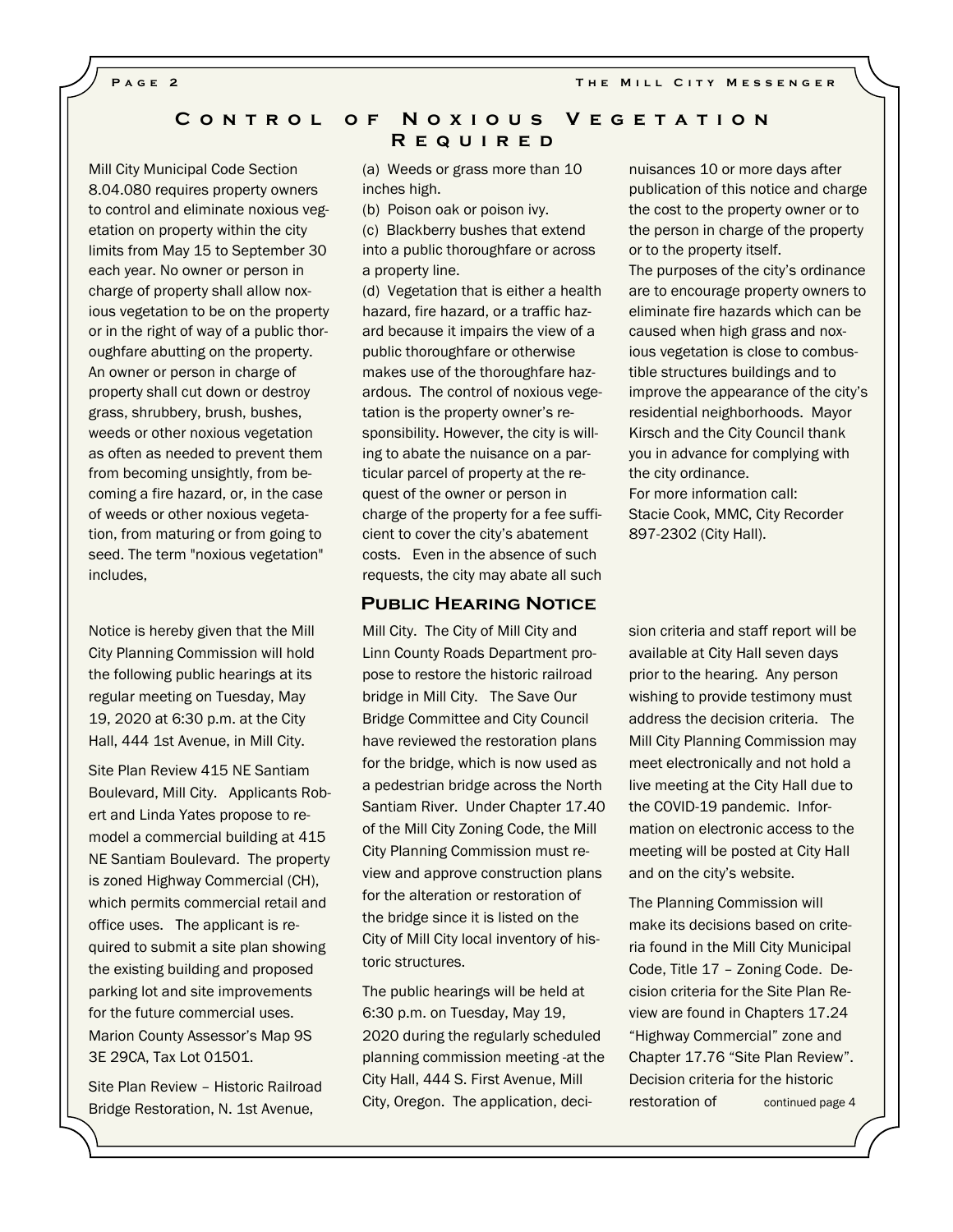**PAGE 2 THE MILL CITY MESSENGER** 

### **C o n t r o l o f N o x i o u s V e g e t a t i o n R e q u i r e d**

Mill City Municipal Code Section 8.04.080 requires property owners to control and eliminate noxious vegetation on property within the city limits from May 15 to September 30 each year. No owner or person in charge of property shall allow noxious vegetation to be on the property or in the right of way of a public thoroughfare abutting on the property. An owner or person in charge of property shall cut down or destroy grass, shrubbery, brush, bushes, weeds or other noxious vegetation as often as needed to prevent them from becoming unsightly, from becoming a fire hazard, or, in the case of weeds or other noxious vegetation, from maturing or from going to seed. The term "noxious vegetation" includes,

Notice is hereby given that the Mill City Planning Commission will hold the following public hearings at its regular meeting on Tuesday, May 19, 2020 at 6:30 p.m. at the City Hall, 444 1st Avenue, in Mill City.

Site Plan Review 415 NE Santiam Boulevard, Mill City. Applicants Robert and Linda Yates propose to remodel a commercial building at 415 NE Santiam Boulevard. The property is zoned Highway Commercial (CH), which permits commercial retail and office uses. The applicant is required to submit a site plan showing the existing building and proposed parking lot and site improvements for the future commercial uses. Marion County Assessor's Map 9S 3E 29CA, Tax Lot 01501.

Site Plan Review – Historic Railroad Bridge Restoration, N. 1st Avenue,

(a) Weeds or grass more than 10 inches high.

(b) Poison oak or poison ivy.

(c) Blackberry bushes that extend into a public thoroughfare or across a property line.

(d) Vegetation that is either a health hazard, fire hazard, or a traffic hazard because it impairs the view of a public thoroughfare or otherwise makes use of the thoroughfare hazardous. The control of noxious vegetation is the property owner's responsibility. However, the city is willing to abate the nuisance on a particular parcel of property at the request of the owner or person in charge of the property for a fee sufficient to cover the city's abatement costs. Even in the absence of such requests, the city may abate all such

#### **Public Hearing Notice**

Mill City. The City of Mill City and Linn County Roads Department propose to restore the historic railroad bridge in Mill City. The Save Our Bridge Committee and City Council have reviewed the restoration plans for the bridge, which is now used as a pedestrian bridge across the North Santiam River. Under Chapter 17.40 of the Mill City Zoning Code, the Mill City Planning Commission must review and approve construction plans for the alteration or restoration of the bridge since it is listed on the City of Mill City local inventory of historic structures.

The public hearings will be held at 6:30 p.m. on Tuesday, May 19, 2020 during the regularly scheduled planning commission meeting -at the City Hall, 444 S. First Avenue, Mill City, Oregon. The application, decinuisances 10 or more days after publication of this notice and charge the cost to the property owner or to the person in charge of the property or to the property itself.

The purposes of the city's ordinance are to encourage property owners to eliminate fire hazards which can be caused when high grass and noxious vegetation is close to combustible structures buildings and to improve the appearance of the city's residential neighborhoods. Mayor Kirsch and the City Council thank you in advance for complying with the city ordinance.

For more information call: Stacie Cook, MMC, City Recorder 897-2302 (City Hall).

sion criteria and staff report will be available at City Hall seven days prior to the hearing. Any person wishing to provide testimony must address the decision criteria. The Mill City Planning Commission may meet electronically and not hold a live meeting at the City Hall due to the COVID-19 pandemic. Information on electronic access to the meeting will be posted at City Hall and on the city's website.

The Planning Commission will make its decisions based on criteria found in the Mill City Municipal Code, Title 17 – Zoning Code. Decision criteria for the Site Plan Review are found in Chapters 17.24 "Highway Commercial" zone and Chapter 17.76 "Site Plan Review". Decision criteria for the historic restoration of continued page 4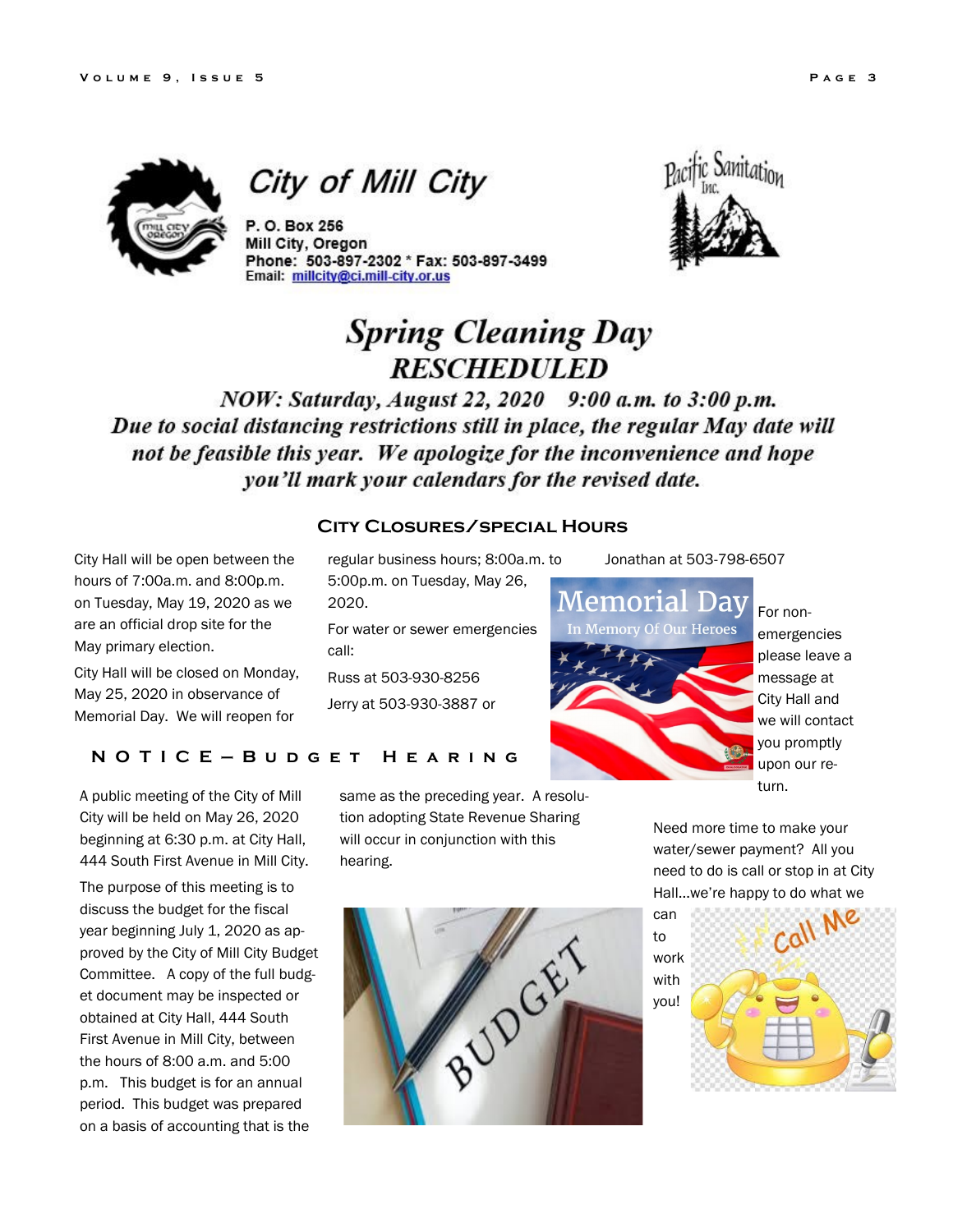

City of Mill City

P. O. Box 256 Mill City, Oregon Phone: 503-897-2302 \* Fax: 503-897-3499 Email: millcity@ci.mill-city.or.us



# **Spring Cleaning Day RESCHEDULED**

NOW: Saturday, August 22, 2020 9:00 a.m. to 3:00 p.m. Due to social distancing restrictions still in place, the regular May date will not be feasible this year. We apologize for the inconvenience and hope you'll mark your calendars for the revised date.

City Hall will be open between the hours of 7:00a.m. and 8:00p.m. on Tuesday, May 19, 2020 as we are an official drop site for the May primary election.

City Hall will be closed on Monday, May 25, 2020 in observance of Memorial Day. We will reopen for

# **N O T I C E — B u d g e t H e a r i n g**

A public meeting of the City of Mill City will be held on May 26, 2020 beginning at 6:30 p.m. at City Hall, 444 South First Avenue in Mill City.

The purpose of this meeting is to discuss the budget for the fiscal year beginning July 1, 2020 as approved by the City of Mill City Budget Committee. A copy of the full budget document may be inspected or obtained at City Hall, 444 South First Avenue in Mill City, between the hours of 8:00 a.m. and 5:00 p.m. This budget is for an annual period. This budget was prepared on a basis of accounting that is the

# **City Closures/special Hours**

regular business hours; 8:00a.m. to 5:00p.m. on Tuesday, May 26, 2020.

For water or sewer emergencies call:

Russ at 503-930-8256

Jerry at 503-930-3887 or

same as the preceding year. A resolution adopting State Revenue Sharing will occur in conjunction with this hearing.





For nonemergencies please leave a message at City Hall and we will contact you promptly upon our return.

Need more time to make your water/sewer payment? All you need to do is call or stop in at City Hall...we're happy to do what we